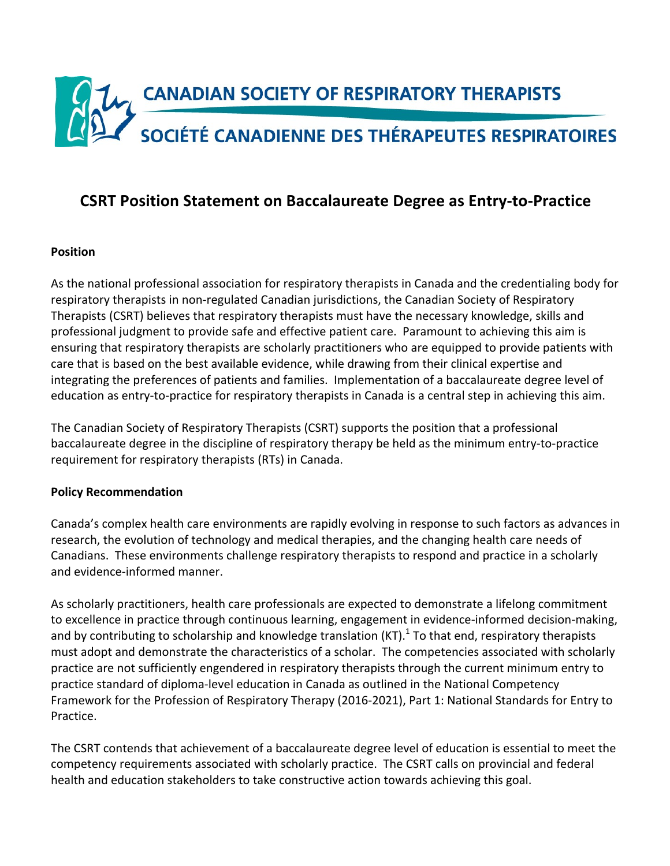

# **CSRT Position Statement on Baccalaureate Degree as Entry-to-Practice**

#### **Position**

As the national professional association for respiratory therapists in Canada and the credentialing body for respiratory therapists in non-regulated Canadian jurisdictions, the Canadian Society of Respiratory Therapists (CSRT) believes that respiratory therapists must have the necessary knowledge, skills and professional judgment to provide safe and effective patient care. Paramount to achieving this aim is ensuring that respiratory therapists are scholarly practitioners who are equipped to provide patients with care that is based on the best available evidence, while drawing from their clinical expertise and integrating the preferences of patients and families. Implementation of a baccalaureate degree level of education as entry-to-practice for respiratory therapists in Canada is a central step in achieving this aim.

The Canadian Society of Respiratory Therapists (CSRT) supports the position that a professional baccalaureate degree in the discipline of respiratory therapy be held as the minimum entry-to-practice requirement for respiratory therapists (RTs) in Canada.

#### **Policy Recommendation**

Canada's complex health care environments are rapidly evolving in response to such factors as advances in research, the evolution of technology and medical therapies, and the changing health care needs of Canadians. These environments challenge respiratory therapists to respond and practice in a scholarly and evidence-informed manner.

As scholarly practitioners, health care professionals are expected to demonstrate a lifelong commitment to excellence in practice through continuous learning, engagement in evidence-informed decision-making, and by contributing to scholarship and knowledge translation (KT).<sup>1</sup> To that end, respiratory therapists must adopt and demonstrate the characteristics of a scholar. The competencies associated with scholarly practice are not sufficiently engendered in respiratory therapists through the current minimum entry to practice standard of diploma-level education in Canada as outlined in the National Competency Framework for the Profession of Respiratory Therapy (2016-2021), Part 1: National Standards for Entry to Practice. 

The CSRT contends that achievement of a baccalaureate degree level of education is essential to meet the competency requirements associated with scholarly practice. The CSRT calls on provincial and federal health and education stakeholders to take constructive action towards achieving this goal.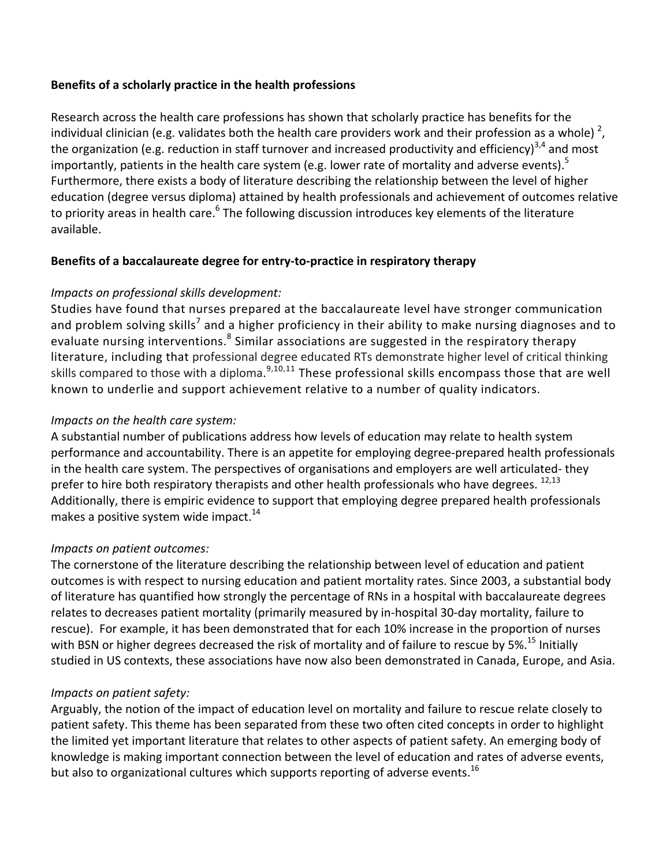#### Benefits of a scholarly practice in the health professions

Research across the health care professions has shown that scholarly practice has benefits for the individual clinician (e.g. validates both the health care providers work and their profession as a whole)  $^{2}$ , the organization (e.g. reduction in staff turnover and increased productivity and efficiency)<sup>3,4</sup> and most importantly, patients in the health care system (e.g. lower rate of mortality and adverse events).<sup>5</sup> Furthermore, there exists a body of literature describing the relationship between the level of higher education (degree versus diploma) attained by health professionals and achievement of outcomes relative to priority areas in health care.<sup>6</sup> The following discussion introduces key elements of the literature available. 

### **Benefits of a baccalaureate degree for entry-to-practice in respiratory therapy**

### *Impacts on professional skills development:*

Studies have found that nurses prepared at the baccalaureate level have stronger communication and problem solving skills<sup>7</sup> and a higher proficiency in their ability to make nursing diagnoses and to evaluate nursing interventions.<sup>8</sup> Similar associations are suggested in the respiratory therapy literature, including that professional degree educated RTs demonstrate higher level of critical thinking skills compared to those with a diploma. $9,10,11$  These professional skills encompass those that are well known to underlie and support achievement relative to a number of quality indicators.

### *Impacts* on the health care system:

A substantial number of publications address how levels of education may relate to health system performance and accountability. There is an appetite for employing degree-prepared health professionals in the health care system. The perspectives of organisations and employers are well articulated- they prefer to hire both respiratory therapists and other health professionals who have degrees. <sup>12,13</sup> Additionally, there is empiric evidence to support that employing degree prepared health professionals makes a positive system wide impact.<sup>14</sup>

### *Impacts on patient outcomes:*

The cornerstone of the literature describing the relationship between level of education and patient outcomes is with respect to nursing education and patient mortality rates. Since 2003, a substantial body of literature has quantified how strongly the percentage of RNs in a hospital with baccalaureate degrees relates to decreases patient mortality (primarily measured by in-hospital 30-day mortality, failure to rescue). For example, it has been demonstrated that for each 10% increase in the proportion of nurses with BSN or higher degrees decreased the risk of mortality and of failure to rescue by 5%.<sup>15</sup> Initially studied in US contexts, these associations have now also been demonstrated in Canada, Europe, and Asia.

### *Impacts on patient safety:*

Arguably, the notion of the impact of education level on mortality and failure to rescue relate closely to patient safety. This theme has been separated from these two often cited concepts in order to highlight the limited yet important literature that relates to other aspects of patient safety. An emerging body of knowledge is making important connection between the level of education and rates of adverse events, but also to organizational cultures which supports reporting of adverse events.<sup>16</sup>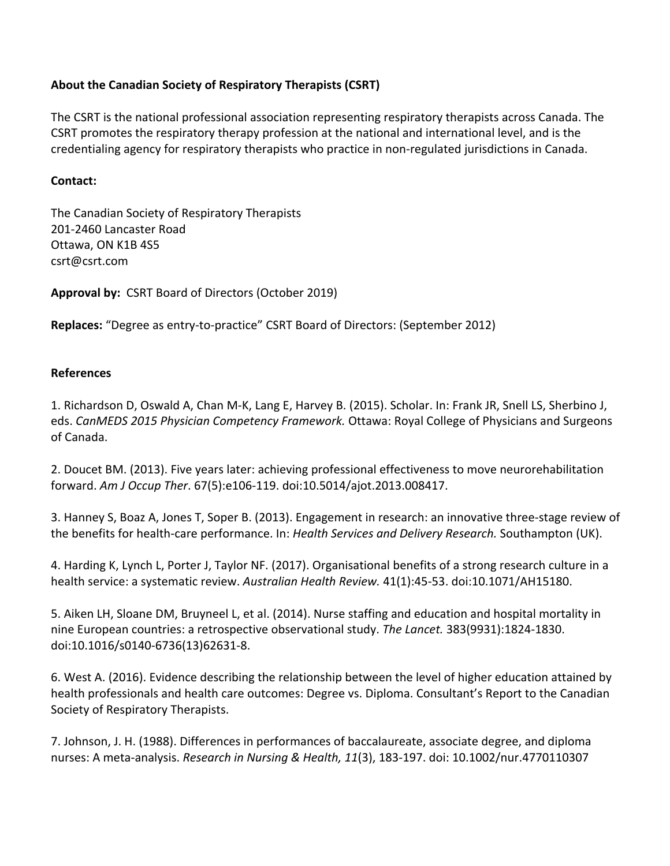### About the Canadian Society of Respiratory Therapists (CSRT)

The CSRT is the national professional association representing respiratory therapists across Canada. The CSRT promotes the respiratory therapy profession at the national and international level, and is the credentialing agency for respiratory therapists who practice in non-regulated jurisdictions in Canada.

### **Contact:**

The Canadian Society of Respiratory Therapists 201-2460 Lancaster Road Ottawa, ON K1B 4S5 csrt@csrt.com

Approval by: CSRT Board of Directors (October 2019)

**Replaces:** "Degree as entry-to-practice" CSRT Board of Directors: (September 2012)

## **References**

1. Richardson D, Oswald A, Chan M-K, Lang E, Harvey B. (2015). Scholar. In: Frank JR, Snell LS, Sherbino J, eds. *CanMEDS 2015 Physician Competency Framework*. Ottawa: Royal College of Physicians and Surgeons of Canada.

2. Doucet BM. (2013). Five years later: achieving professional effectiveness to move neurorehabilitation forward. *Am J Occup Ther*. 67(5):e106-119. doi:10.5014/ajot.2013.008417. 

3. Hanney S, Boaz A, Jones T, Soper B. (2013). Engagement in research: an innovative three-stage review of the benefits for health-care performance. In: *Health Services and Delivery Research.* Southampton (UK).

4. Harding K, Lynch L, Porter J, Taylor NF. (2017). Organisational benefits of a strong research culture in a health service: a systematic review. Australian Health Review. 41(1):45-53. doi:10.1071/AH15180.

5. Aiken LH, Sloane DM, Bruyneel L, et al. (2014). Nurse staffing and education and hospital mortality in nine European countries: a retrospective observational study. The Lancet. 383(9931):1824-1830. doi:10.1016/s0140-6736(13)62631-8. 

6. West A. (2016). Evidence describing the relationship between the level of higher education attained by health professionals and health care outcomes: Degree vs. Diploma. Consultant's Report to the Canadian Society of Respiratory Therapists.

7. Johnson, J. H. (1988). Differences in performances of baccalaureate, associate degree, and diploma nurses: A meta-analysis. *Research in Nursing & Health, 11*(3), 183-197. doi: 10.1002/nur.4770110307